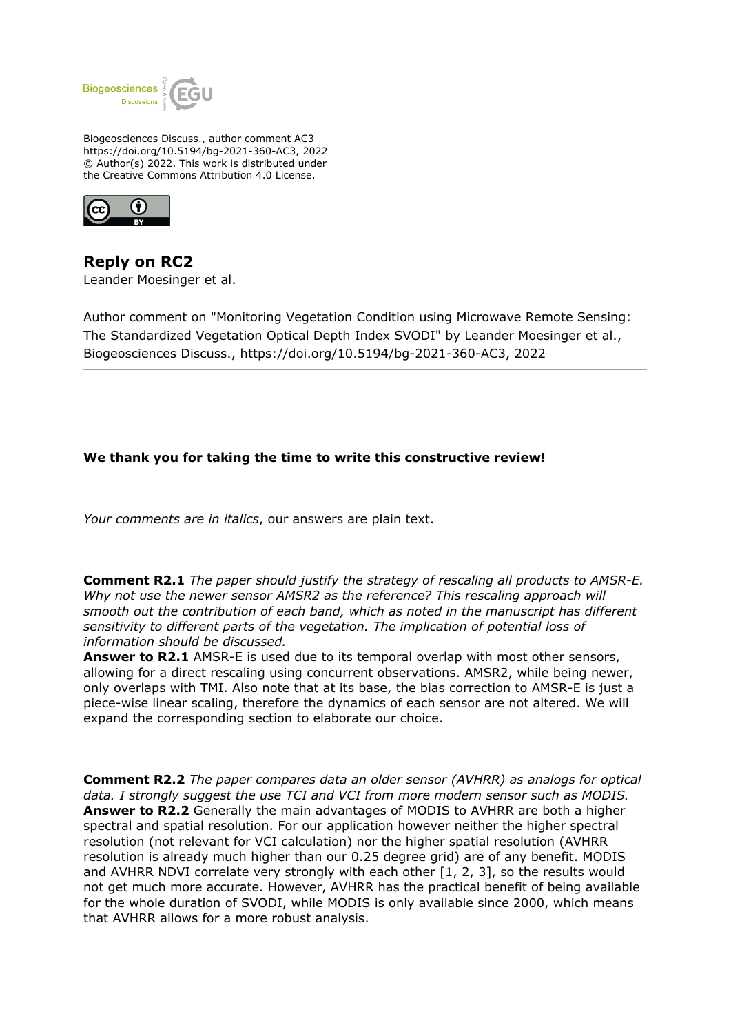

Biogeosciences Discuss., author comment AC3 https://doi.org/10.5194/bg-2021-360-AC3, 2022 © Author(s) 2022. This work is distributed under the Creative Commons Attribution 4.0 License.



**Reply on RC2** Leander Moesinger et al.

Author comment on "Monitoring Vegetation Condition using Microwave Remote Sensing: The Standardized Vegetation Optical Depth Index SVODI" by Leander Moesinger et al., Biogeosciences Discuss., https://doi.org/10.5194/bg-2021-360-AC3, 2022

## **We thank you for taking the time to write this constructive review!**

*Your comments are in italics*, our answers are plain text.

**Comment R2.1** *The paper should justify the strategy of rescaling all products to AMSR-E. Why not use the newer sensor AMSR2 as the reference? This rescaling approach will smooth out the contribution of each band, which as noted in the manuscript has different sensitivity to different parts of the vegetation. The implication of potential loss of information should be discussed.* 

**Answer to R2.1** AMSR-E is used due to its temporal overlap with most other sensors, allowing for a direct rescaling using concurrent observations. AMSR2, while being newer, only overlaps with TMI. Also note that at its base, the bias correction to AMSR-E is just a piece-wise linear scaling, therefore the dynamics of each sensor are not altered. We will expand the corresponding section to elaborate our choice.

**Comment R2.2** *The paper compares data an older sensor (AVHRR) as analogs for optical data. I strongly suggest the use TCI and VCI from more modern sensor such as MODIS.* **Answer to R2.2** Generally the main advantages of MODIS to AVHRR are both a higher spectral and spatial resolution. For our application however neither the higher spectral resolution (not relevant for VCI calculation) nor the higher spatial resolution (AVHRR resolution is already much higher than our 0.25 degree grid) are of any benefit. MODIS and AVHRR NDVI correlate very strongly with each other  $[1, 2, 3]$ , so the results would not get much more accurate. However, AVHRR has the practical benefit of being available for the whole duration of SVODI, while MODIS is only available since 2000, which means that AVHRR allows for a more robust analysis.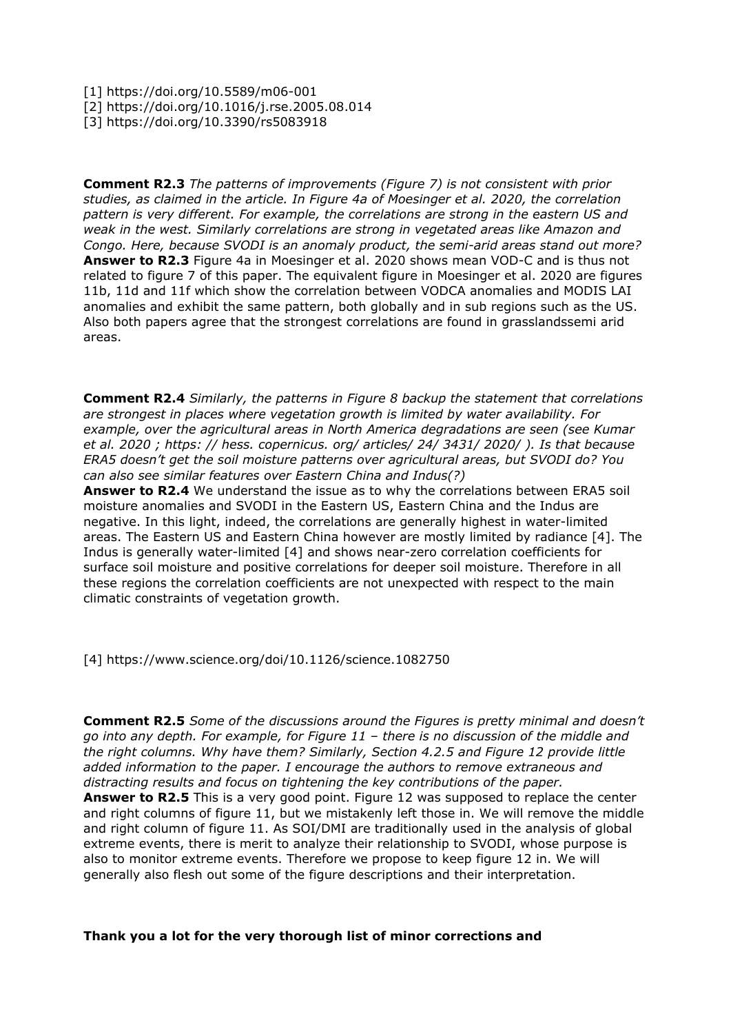- [1] https://doi.org/10.5589/m06-001
- [2] https://doi.org/10.1016/j.rse.2005.08.014
- [3] https://doi.org/10.3390/rs5083918

**Comment R2.3** *The patterns of improvements (Figure 7) is not consistent with prior studies, as claimed in the article. In Figure 4a of Moesinger et al. 2020, the correlation pattern is very different. For example, the correlations are strong in the eastern US and weak in the west. Similarly correlations are strong in vegetated areas like Amazon and Congo. Here, because SVODI is an anomaly product, the semi-arid areas stand out more?* **Answer to R2.3** Figure 4a in Moesinger et al. 2020 shows mean VOD-C and is thus not related to figure 7 of this paper. The equivalent figure in Moesinger et al. 2020 are figures 11b, 11d and 11f which show the correlation between VODCA anomalies and MODIS LAI anomalies and exhibit the same pattern, both globally and in sub regions such as the US. Also both papers agree that the strongest correlations are found in grasslandssemi arid areas.

**Comment R2.4** *Similarly, the patterns in Figure 8 backup the statement that correlations are strongest in places where vegetation growth is limited by water availability. For example, over the agricultural areas in North America degradations are seen (see Kumar et al. 2020 ; https: // hess. copernicus. org/ articles/ 24/ 3431/ 2020/ ). Is that because ERA5 doesn't get the soil moisture patterns over agricultural areas, but SVODI do? You can also see similar features over Eastern China and Indus(?)*

**Answer to R2.4** We understand the issue as to why the correlations between ERA5 soil moisture anomalies and SVODI in the Eastern US, Eastern China and the Indus are negative. In this light, indeed, the correlations are generally highest in water-limited areas. The Eastern US and Eastern China however are mostly limited by radiance [4]. The Indus is generally water-limited [4] and shows near-zero correlation coefficients for surface soil moisture and positive correlations for deeper soil moisture. Therefore in all these regions the correlation coefficients are not unexpected with respect to the main climatic constraints of vegetation growth.

[4] https://www.science.org/doi/10.1126/science.1082750

**Comment R2.5** *Some of the discussions around the Figures is pretty minimal and doesn't go into any depth. For example, for Figure 11 – there is no discussion of the middle and the right columns. Why have them? Similarly, Section 4.2.5 and Figure 12 provide little added information to the paper. I encourage the authors to remove extraneous and distracting results and focus on tightening the key contributions of the paper.* **Answer to R2.5** This is a very good point. Figure 12 was supposed to replace the center and right columns of figure 11, but we mistakenly left those in. We will remove the middle and right column of figure 11. As SOI/DMI are traditionally used in the analysis of global extreme events, there is merit to analyze their relationship to SVODI, whose purpose is also to monitor extreme events. Therefore we propose to keep figure 12 in. We will generally also flesh out some of the figure descriptions and their interpretation.

## **Thank you a lot for the very thorough list of minor corrections and**